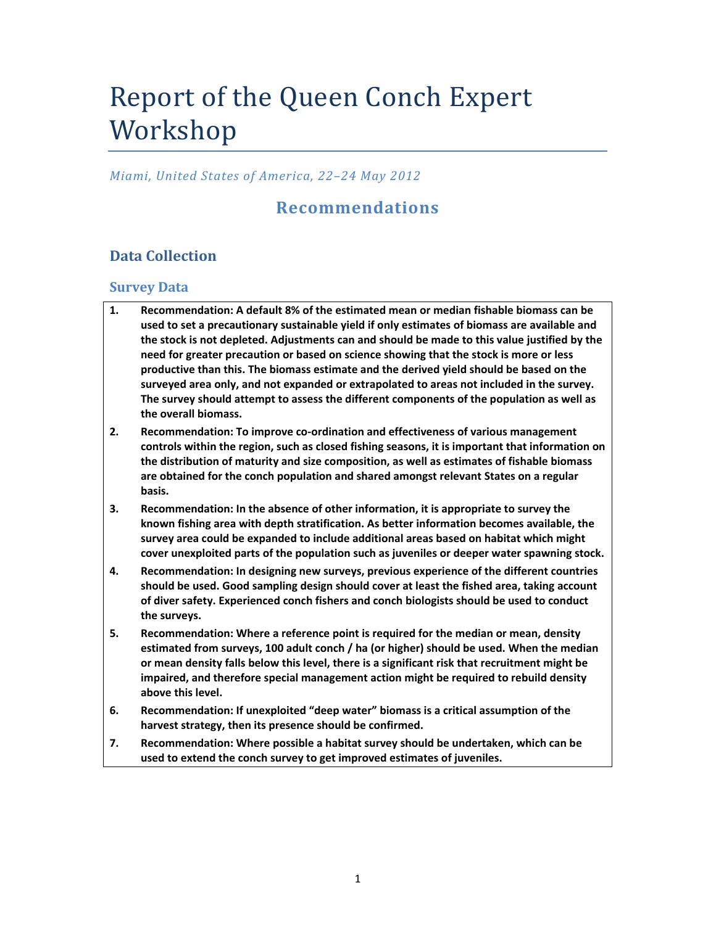# Report of the Queen Conch Expert Workshop

#### *Miami, United States of America, 22–24 May 2012*

# **Recommendations**

# **Data Collection**

#### **Survey Data**

- **1. Recommendation: A default 8% of the estimated mean or median fishable biomass can be used to set a precautionary sustainable yield if only estimates of biomass are available and the stock is not depleted. Adjustments can and should be made to this value justified by the need for greater precaution or based on science showing that the stock is more or less productive than this. The biomass estimate and the derived yield should be based on the surveyed area only, and not expanded or extrapolated to areas not included in the survey. The survey should attempt to assess the different components of the population as well as the overall biomass.**
- **2. Recommendation: To improve co‐ordination and effectiveness of various management controls within the region, such as closed fishing seasons, it is important that information on the distribution of maturity and size composition, as well as estimates of fishable biomass are obtained for the conch population and shared amongst relevant States on a regular basis.**
- **3. Recommendation: In the absence of other information, it is appropriate to survey the known fishing area with depth stratification. As better information becomes available, the survey area could be expanded to include additional areas based on habitat which might cover unexploited parts of the population such as juveniles or deeper water spawning stock.**
- **4. Recommendation: In designing new surveys, previous experience of the different countries should be used. Good sampling design should cover at least the fished area, taking account of diver safety. Experienced conch fishers and conch biologists should be used to conduct the surveys.**
- **5. Recommendation: Where a reference point is required for the median or mean, density estimated from surveys, 100 adult conch / ha (or higher) should be used. When the median or mean density falls below this level, there is a significant risk that recruitment might be impaired, and therefore special management action might be required to rebuild density above this level.**
- **6. Recommendation: If unexploited "deep water" biomass is a critical assumption of the harvest strategy, then its presence should be confirmed.**
- **7. Recommendation: Where possible a habitat survey should be undertaken, which can be used to extend the conch survey to get improved estimates of juveniles.**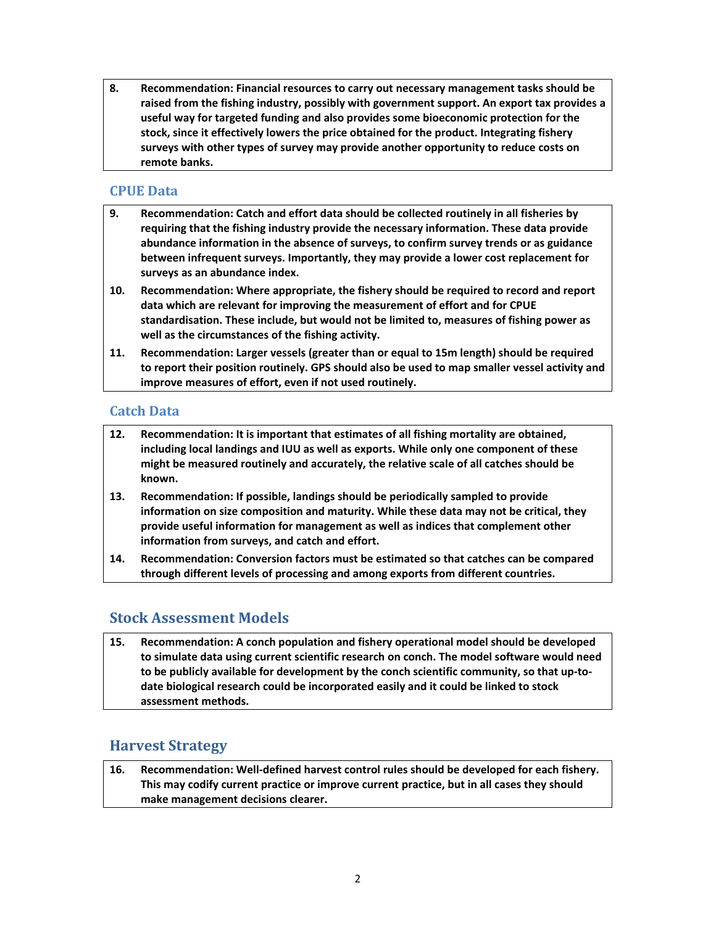**8. Recommendation: Financial resources to carry out necessary management tasks should be raised from the fishing industry, possibly with government support. An export tax provides a useful way for targeted funding and also provides some bioeconomic protection for the stock, since it effectively lowers the price obtained for the product. Integrating fishery surveys with other types of survey may provide another opportunity to reduce costs on remote banks.**

#### **CPUE Data**

- **9. Recommendation: Catch and effort data should be collected routinely in all fisheries by requiring that the fishing industry provide the necessary information. These data provide abundance information in the absence of surveys, to confirm survey trends or as guidance between infrequent surveys. Importantly, they may provide a lower cost replacement for surveys as an abundance index.**
- **10. Recommendation: Where appropriate, the fishery should be required to record and report data which are relevant for improving the measurement of effort and for CPUE standardisation. These include, but would not be limited to, measures of fishing power as well as the circumstances of the fishing activity.**
- **11. Recommendation: Larger vessels (greater than or equal to 15m length) should be required to report their position routinely. GPS should also be used to map smaller vessel activity and improve measures of effort, even if not used routinely.**

#### **Catch Data**

- **12. Recommendation: It is important that estimates of all fishing mortality are obtained, including local landings and IUU as well as exports. While only one component of these might be measured routinely and accurately, the relative scale of all catches should be known.**
- **13. Recommendation: If possible, landings should be periodically sampled to provide information on size composition and maturity. While these data may not be critical, they provide useful information for management as well as indices that complement other information from surveys, and catch and effort.**
- **14. Recommendation: Conversion factors must be estimated so that catches can be compared through different levels of processing and among exports from different countries.**

### **Stock Assessment Models**

**15. Recommendation: A conch population and fishery operational model should be developed to simulate data using current scientific research on conch. The model software would need to be publicly available for development by the conch scientific community, so that up‐to‐ date biological research could be incorporated easily and it could be linked to stock assessment methods.**

### **Harvest Strategy**

**16. Recommendation: Well‐defined harvest control rules should be developed for each fishery. This may codify current practice or improve current practice, but in all cases they should make management decisions clearer.**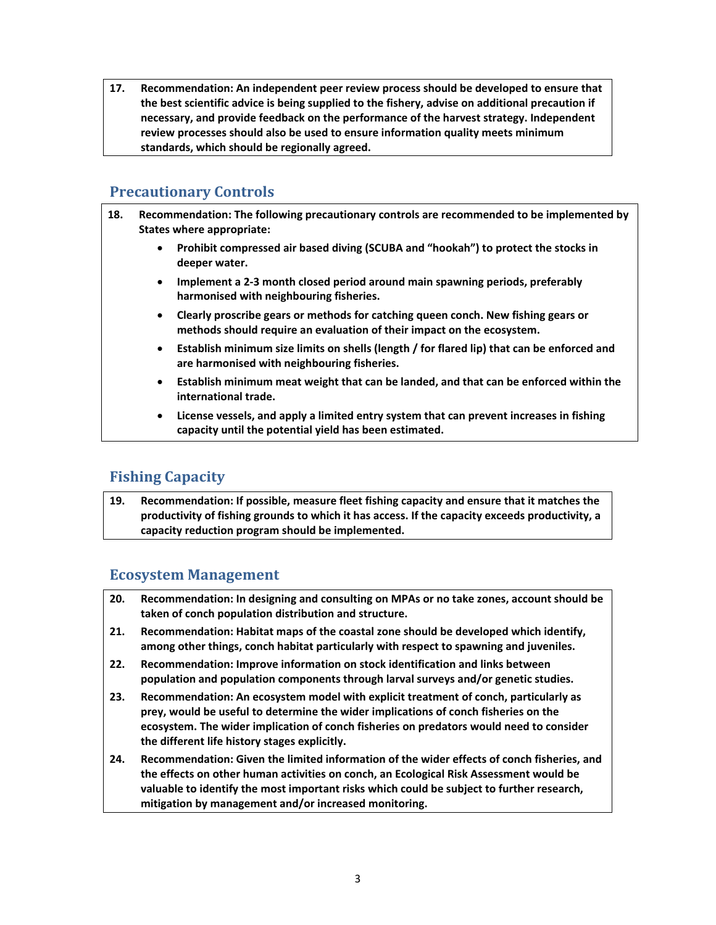**17. Recommendation: An independent peer review process should be developed to ensure that the best scientific advice is being supplied to the fishery, advise on additional precaution if necessary, and provide feedback on the performance of the harvest strategy. Independent review processes should also be used to ensure information quality meets minimum standards, which should be regionally agreed.** 

## **Precautionary Controls**

- **18. Recommendation: The following precautionary controls are recommended to be implemented by States where appropriate:**
	- **Prohibit compressed air based diving (SCUBA and "hookah") to protect the stocks in deeper water.**
	- **Implement a 2‐3 month closed period around main spawning periods, preferably harmonised with neighbouring fisheries.**
	- **Clearly proscribe gears or methods for catching queen conch. New fishing gears or methods should require an evaluation of their impact on the ecosystem.**
	- **Establish minimum size limits on shells (length / for flared lip) that can be enforced and are harmonised with neighbouring fisheries.**
	- **Establish minimum meat weight that can be landed, and that can be enforced within the international trade.**
	- **License vessels, and apply a limited entry system that can prevent increases in fishing capacity until the potential yield has been estimated.**

# **Fishing Capacity**

**19. Recommendation: If possible, measure fleet fishing capacity and ensure that it matches the productivity of fishing grounds to which it has access. If the capacity exceeds productivity, a capacity reduction program should be implemented.**

### **Ecosystem Management**

- **20. Recommendation: In designing and consulting on MPAs or no take zones, account should be taken of conch population distribution and structure.**
- **21. Recommendation: Habitat maps of the coastal zone should be developed which identify, among other things, conch habitat particularly with respect to spawning and juveniles.**
- **22. Recommendation: Improve information on stock identification and links between population and population components through larval surveys and/or genetic studies.**
- **23. Recommendation: An ecosystem model with explicit treatment of conch, particularly as prey, would be useful to determine the wider implications of conch fisheries on the ecosystem. The wider implication of conch fisheries on predators would need to consider the different life history stages explicitly.**
- **24. Recommendation: Given the limited information of the wider effects of conch fisheries, and the effects on other human activities on conch, an Ecological Risk Assessment would be valuable to identify the most important risks which could be subject to further research, mitigation by management and/or increased monitoring.**